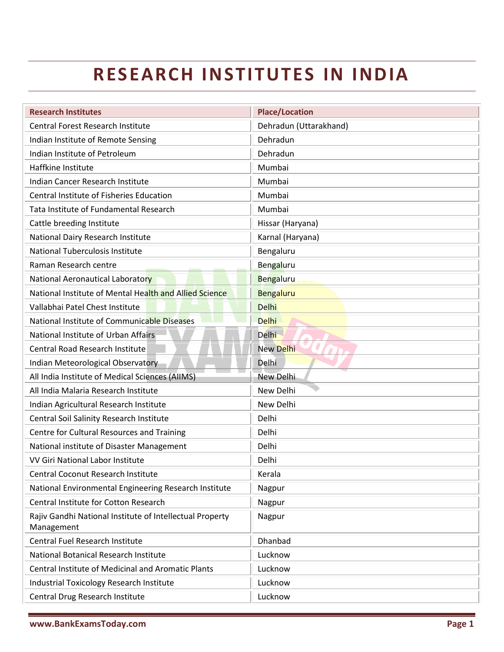## **RESEARCH INSTITUTES IN INDIA**

| <b>Research Institutes</b>                                | <b>Place/Location</b>  |
|-----------------------------------------------------------|------------------------|
| <b>Central Forest Research Institute</b>                  | Dehradun (Uttarakhand) |
| Indian Institute of Remote Sensing                        | Dehradun               |
| Indian Institute of Petroleum                             | Dehradun               |
| Haffkine Institute                                        | Mumbai                 |
| Indian Cancer Research Institute                          | Mumbai                 |
| <b>Central Institute of Fisheries Education</b>           | Mumbai                 |
| Tata Institute of Fundamental Research                    | Mumbai                 |
| Cattle breeding Institute                                 | Hissar (Haryana)       |
| National Dairy Research Institute                         | Karnal (Haryana)       |
| National Tuberculosis Institute                           | Bengaluru              |
| Raman Research centre                                     | Bengaluru              |
| National Aeronautical Laboratory                          | Bengaluru              |
| National Institute of Mental Health and Allied Science    | <b>Bengaluru</b>       |
| Vallabhai Patel Chest Institute                           | <b>Delhi</b>           |
| National Institute of Communicable Diseases               | <b>Delhi</b>           |
| National Institute of Urban Affairs                       | <b>Delhi</b>           |
| <b>Central Road Research Institute</b>                    | New Delhi              |
| Indian Meteorological Observatory                         | Delhi                  |
| All India Institute of Medical Sciences (AIIMS)           | New Delhi              |
| All India Malaria Research Institute                      | New Delhi              |
| Indian Agricultural Research Institute                    | New Delhi              |
| Central Soil Salinity Research Institute                  | Delhi                  |
| Centre for Cultural Resources and Training                | Delhi                  |
| National institute of Disaster Management                 | Delhi                  |
| VV Giri National Labor Institute                          | Delhi                  |
| Central Coconut Research Institute                        | Kerala                 |
| National Environmental Engineering Research Institute     | Nagpur                 |
| Central Institute for Cotton Research                     | Nagpur                 |
| Rajiv Gandhi National Institute of Intellectual Property  | Nagpur                 |
| Management<br>Central Fuel Research Institute             | Dhanbad                |
|                                                           |                        |
| National Botanical Research Institute                     | Lucknow                |
| <b>Central Institute of Medicinal and Aromatic Plants</b> | Lucknow                |
| <b>Industrial Toxicology Research Institute</b>           | Lucknow                |
| Central Drug Research Institute                           | Lucknow                |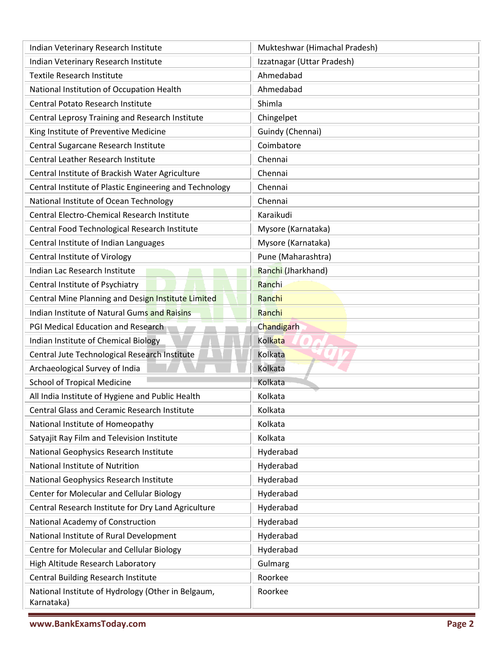| Indian Veterinary Research Institute                             | Mukteshwar (Himachal Pradesh) |
|------------------------------------------------------------------|-------------------------------|
| Indian Veterinary Research Institute                             | Izzatnagar (Uttar Pradesh)    |
| <b>Textile Research Institute</b>                                | Ahmedabad                     |
| National Institution of Occupation Health                        | Ahmedabad                     |
| Central Potato Research Institute                                | Shimla                        |
| Central Leprosy Training and Research Institute                  | Chingelpet                    |
| King Institute of Preventive Medicine                            | Guindy (Chennai)              |
| Central Sugarcane Research Institute                             | Coimbatore                    |
| <b>Central Leather Research Institute</b>                        | Chennai                       |
| Central Institute of Brackish Water Agriculture                  | Chennai                       |
| Central Institute of Plastic Engineering and Technology          | Chennai                       |
| National Institute of Ocean Technology                           | Chennai                       |
| Central Electro-Chemical Research Institute                      | Karaikudi                     |
| Central Food Technological Research Institute                    | Mysore (Karnataka)            |
| Central Institute of Indian Languages                            | Mysore (Karnataka)            |
| <b>Central Institute of Virology</b>                             | Pune (Maharashtra)            |
| Indian Lac Research Institute                                    | Ranchi (Jharkhand)            |
| Central Institute of Psychiatry                                  | Ranchi                        |
| Central Mine Planning and Design Institute Limited               | Ranchi                        |
| Indian Institute of Natural Gums and Raisins                     | Ranchi                        |
| PGI Medical Education and Research                               | Chandigarh                    |
| Indian Institute of Chemical Biology                             | Kolkata                       |
| Central Jute Technological Research Institute                    | Kolkata                       |
| Archaeological Survey of India                                   | Kolkata                       |
| <b>School of Tropical Medicine</b>                               | Kolkata                       |
| All India Institute of Hygiene and Public Health                 | Kolkata                       |
| <b>Central Glass and Ceramic Research Institute</b>              | Kolkata                       |
| National Institute of Homeopathy                                 | Kolkata                       |
| Satyajit Ray Film and Television Institute                       | Kolkata                       |
| National Geophysics Research Institute                           | Hyderabad                     |
| National Institute of Nutrition                                  | Hyderabad                     |
| National Geophysics Research Institute                           | Hyderabad                     |
| Center for Molecular and Cellular Biology                        | Hyderabad                     |
| Central Research Institute for Dry Land Agriculture              | Hyderabad                     |
| National Academy of Construction                                 | Hyderabad                     |
| National Institute of Rural Development                          | Hyderabad                     |
| Centre for Molecular and Cellular Biology                        | Hyderabad                     |
| High Altitude Research Laboratory                                | Gulmarg                       |
| Central Building Research Institute                              | Roorkee                       |
| National Institute of Hydrology (Other in Belgaum,<br>Karnataka) | Roorkee                       |